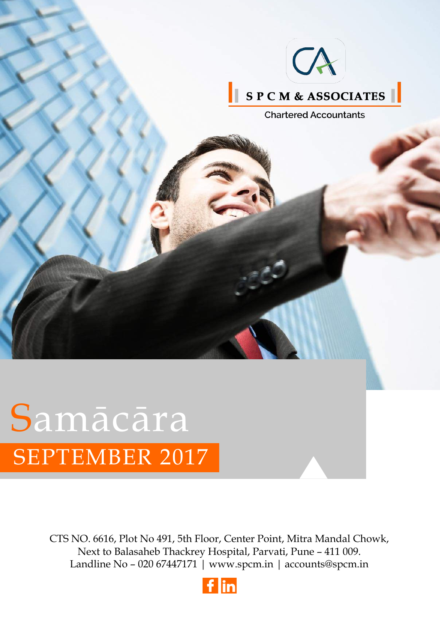

# SEPTEMBER 2017 Samācāra

[CTS NO. 6616, Plot No 491, 5th Floor, Center Point, Mitra Mandal Chowk,](https://www.google.com/maps/place/S+P+C+M+And+Associates/@18.497136,73.855556,16z/data=!4m5!3m4!1s0x0:0x99ab3471d62ff13b!8m2!3d18.4971362!4d73.8555562?hl=en-US) Next to Balasaheb Thackrey Hospital, Parvati, Pune – 411 009. Landline No – 020 67447171 |<www.spcm.in>| accounts@spcm.in

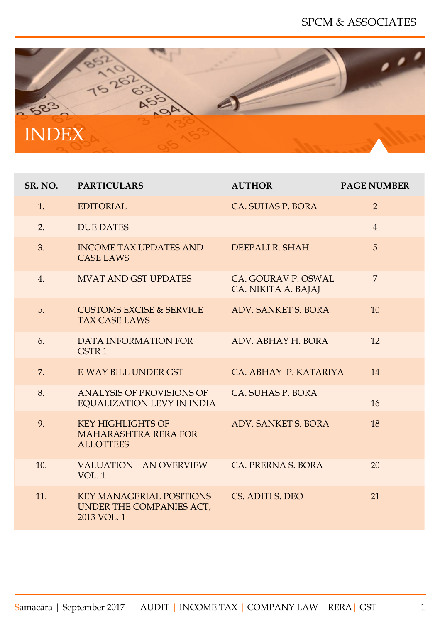<span id="page-1-0"></span>

| SR. NO. | <b>PARTICULARS</b>                                                          | <b>AUTHOR</b>                              | <b>PAGE NUMBER</b> |
|---------|-----------------------------------------------------------------------------|--------------------------------------------|--------------------|
| 1.      | <b>EDITORIAL</b>                                                            | CA. SUHAS P. BORA                          | 2                  |
| 2.      | <b>DUE DATES</b>                                                            |                                            | $\overline{4}$     |
| 3.      | <b>INCOME TAX UPDATES AND</b><br><b>CASE LAWS</b>                           | DEEPALI R. SHAH                            | 5                  |
| 4.      | <b>MVAT AND GST UPDATES</b>                                                 | CA. GOURAV P. OSWAL<br>CA. NIKITA A. BAJAJ | $\overline{7}$     |
| 5.      | <b>CUSTOMS EXCISE &amp; SERVICE</b><br><b>TAX CASE LAWS</b>                 | <b>ADV. SANKET S. BORA</b>                 | 10                 |
| 6.      | DATA INFORMATION FOR<br>GSTR <sub>1</sub>                                   | ADV. ABHAY H. BORA                         | 12                 |
| 7.      | <b>E-WAY BILL UNDER GST</b>                                                 | CA. ABHAY P. KATARIYA                      | 14                 |
| 8.      | ANALYSIS OF PROVISIONS OF<br><b>EQUALIZATION LEVY IN INDIA</b>              | CA. SUHAS P. BORA                          | 16                 |
| 9.      | <b>KEY HIGHLIGHTS OF</b><br><b>MAHARASHTRA RERA FOR</b><br><b>ALLOTTEES</b> | <b>ADV. SANKET S. BORA</b>                 | 18                 |
| 10.     | <b>VALUATION - AN OVERVIEW</b><br>VOL.1                                     | CA. PRERNA S. BORA                         | 20                 |
| 11.     | <b>KEY MANAGERIAL POSITIONS</b><br>UNDER THE COMPANIES ACT,<br>2013 VOL. 1  | CS. ADITI S. DEO                           | 21                 |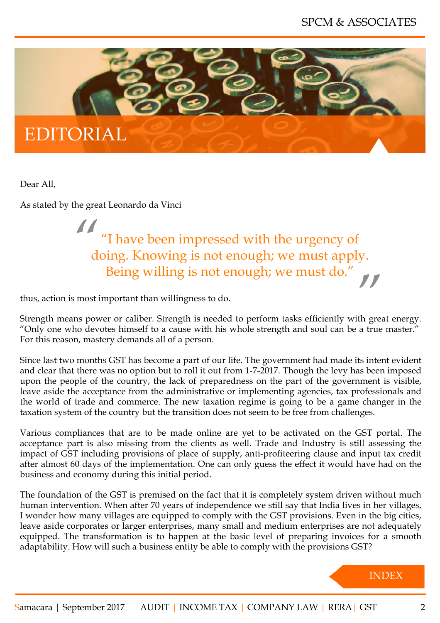<span id="page-2-0"></span>

Dear All,

As stated by the great Leonardo da Vinci

11<br>de doing. Knowing is not enough; we must apply. "I have been impressed with the urgency of Being willing is not enough; we must do."

thus, action is most important than willingness to do.

Strength means power or caliber. Strength is needed to perform tasks efficiently with great energy. "Only one who devotes himself to a cause with his whole strength and soul can be a true master." For this reason, mastery demands all of a person.

Since last two months GST has become a part of our life. The government had made its intent evident and clear that there was no option but to roll it out from 1-7-2017. Though the levy has been imposed upon the people of the country, the lack of preparedness on the part of the government is visible, leave aside the acceptance from the administrative or implementing agencies, tax professionals and the world of trade and commerce. The new taxation regime is going to be a game changer in the taxation system of the country but the transition does not seem to be free from challenges.

Various compliances that are to be made online are yet to be activated on the GST portal. The acceptance part is also missing from the clients as well. Trade and Industry is still assessing the impact of GST including provisions of place of supply, anti-profiteering clause and input tax credit after almost 60 days of the implementation. One can only guess the effect it would have had on the business and economy during this initial period.

The foundation of the GST is premised on the fact that it is completely system driven without much human intervention. When after 70 years of independence we still say that India lives in her villages, I wonder how many villages are equipped to comply with the GST provisions. Even in the big cities, leave aside corporates or larger enterprises, many small and medium enterprises are not adequately equipped. The transformation is to happen at the basic level of preparing invoices for a smooth adaptability. How will such a business entity be able to comply with the provisions GST?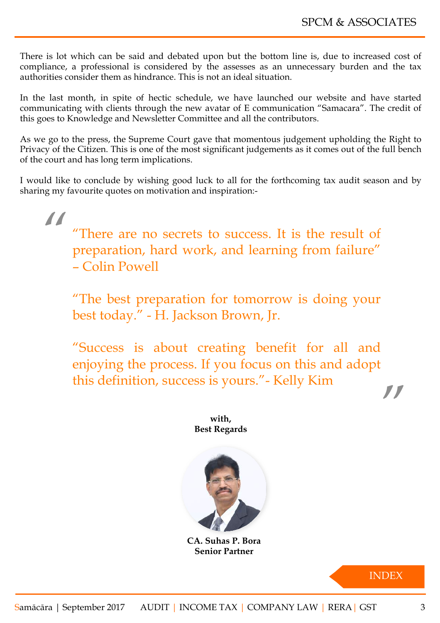There is lot which can be said and debated upon but the bottom line is, due to increased cost of compliance, a professional is considered by the assesses as an unnecessary burden and the tax authorities consider them as hindrance. This is not an ideal situation.

In the last month, in spite of hectic schedule, we have launched our website and have started communicating with clients through the new avatar of E communication "Samacara". The credit of this goes to Knowledge and Newsletter Committee and all the contributors.

As we go to the press, the Supreme Court gave that momentous judgement upholding the Right to Privacy of the Citizen. This is one of the most significant judgements as it comes out of the full bench of the court and has long term implications.

I would like to conclude by wishing good luck to all for the forthcoming tax audit season and by sharing my favourite quotes on motivation and inspiration:-

" "There are no secrets to success. It is the result of preparation, hard work, and learning from failure" – Colin Powell

"The best preparation for tomorrow is doing your best today." - H. Jackson Brown, Jr.

" "Success is about creating benefit for all and enjoying the process. If you focus on this and adopt this definition, success is yours."- Kelly Kim

> **with, Best Regards**



**CA. Suhas P. Bora Senior Partner**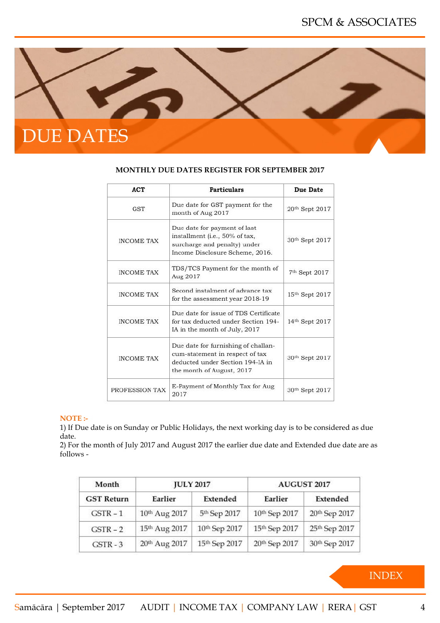<span id="page-4-0"></span>

| <b>ACT</b>        | <b>Particulars</b>                                                                                                                      | Due Date       |
|-------------------|-----------------------------------------------------------------------------------------------------------------------------------------|----------------|
| <b>GST</b>        | Due date for GST payment for the<br>month of Aug 2017                                                                                   | 20th Sept 2017 |
| <b>INCOME TAX</b> | Due date for payment of last<br>installment (i.e., 50% of tax,<br>surcharge and penalty) under<br>Income Disclosure Scheme, 2016.       | 30th Sept 2017 |
| <b>INCOME TAX</b> | TDS/TCS Payment for the month of<br>Aug 2017                                                                                            | 7th Sept 2017  |
| <b>INCOME TAX</b> | Second instalment of advance tax<br>for the assessment year 2018-19                                                                     | 15th Sept 2017 |
| <b>INCOME TAX</b> | Due date for issue of TDS Certificate<br>for tax deducted under Section 194-<br>IA in the month of July, 2017                           | 14th Sept 2017 |
| <b>INCOME TAX</b> | Due date for furnishing of challan-<br>cum-statement in respect of tax<br>deducted under Section 194-JA in<br>the month of August, 2017 | 30th Sept 2017 |
| PROFESSION TAX    | E-Payment of Monthly Tax for Aug<br>2017                                                                                                | 30th Sept 2017 |

#### **MONTHLY DUE DATES REGISTER FOR SEPTEMBER 2017**

#### **NOTE :-**

1) If Due date is on Sunday or Public Holidays, the next working day is to be considered as due date.

2) For the month of July 2017 and August 2017 the earlier due date and Extended due date are as follows -

| Month             | <b>JULY 2017</b> |               | AUGUST 2017   |               |
|-------------------|------------------|---------------|---------------|---------------|
| <b>GST Return</b> | Earlier          | Extended      | Earlier       | Extended      |
| $GSTR - 1$        | 10th Aug 2017    | 5th Sep 2017  | 10th Sep 2017 | 20th Sep 2017 |
| $GSTR - 2$        | 15th Aug 2017    | 10th Sep 2017 | 15th Sep 2017 | 25th Sep 2017 |
| $GSTR - 3$        | 20th Aug 2017    | 15th Sep 2017 | 20th Sep 2017 | 30th Sep 2017 |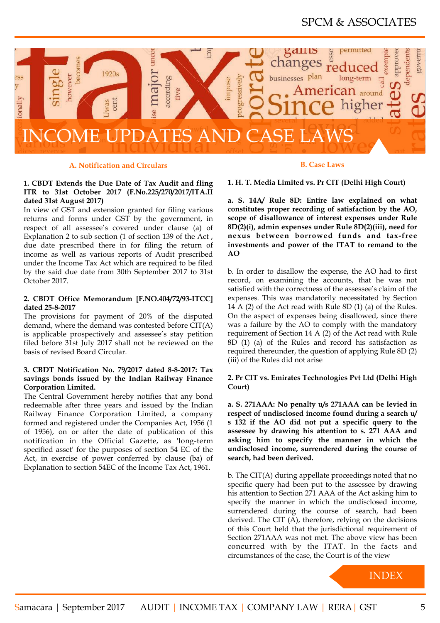# SPCM & ASSOCIATES

<span id="page-5-0"></span>

#### **A. Notification and Circulars**

#### **1. CBDT Extends the Due Date of Tax Audit and fling ITR to 31st October 2017 (F.No.225/270/2017/ITA.II dated 31st August 2017)**

In view of GST and extension granted for filing various returns and forms under GST by the government, in respect of all assessee's covered under clause (a) of Explanation 2 to sub section (1 of section 139 of the Act , due date prescribed there in for filing the return of income as well as various reports of Audit prescribed under the Income Tax Act which are required to be filed by the said due date from 30th September 2017 to 31st October 2017.

#### **2. CBDT Office Memorandum [F.NO.404/72/93-ITCC] dated 25-8-2017**

The provisions for payment of 20% of the disputed demand, where the demand was contested before CIT(A) is applicable prospectively and assessee's stay petition filed before 31st July 2017 shall not be reviewed on the basis of revised Board Circular.

#### **3. CBDT Notification No. 79/2017 dated 8-8-2017: Tax savings bonds issued by the Indian Railway Finance Corporation Limited.**

The Central Government hereby notifies that any bond redeemable after three years and issued by the Indian Railway Finance Corporation Limited, a company formed and registered under the Companies Act, 1956 (1 of 1956), on or after the date of publication of this notification in the Official Gazette, as 'long-term specified asset' for the purposes of section 54 EC of the Act, in exercise of power conferred by clause (ba) of Explanation to section 54EC of the Income Tax Act, 1961.

**B. Case Laws**

**1. H. T. Media Limited vs. Pr CIT (Delhi High Court)**

**a. S. 14A/ Rule 8D: Entire law explained on what [constitutes proper recording](#page-1-0) of satisfaction by the AO, scope of disallowance of interest expenses under Rule 8D(2)(i), admin expenses under Rule 8D(2)(iii), need for nexus between borrowed funds and tax-free investments and power of the ITAT to remand to the AO**

b. In order to disallow the expense, the AO had to first record, on examining the accounts, that he was not satisfied with the correctness of the assessee's claim of the expenses. This was mandatorily necessitated by Section 14 A (2) of the Act read with Rule 8D (1) (a) of the Rules. On the aspect of expenses being disallowed, since there was a failure by the AO to comply with the mandatory requirement of Section 14 A (2) of the Act read with Rule 8D (1) (a) of the Rules and record his satisfaction as required thereunder, the question of applying Rule 8D (2) (iii) of the Rules did not arise

#### **2. Pr CIT vs. Emirates Technologies Pvt Ltd (Delhi High Court)**

**a. S. 271AAA: No penalty u/s 271AAA can be levied in respect of undisclosed income found during a search u/ s 132 if the AO did not put a specific query to the assessee by drawing his attention to s. 271 AAA and asking him to specify the manner in which the undisclosed income, surrendered during the course of search, had been derived.**

b. The CIT(A) during appellate proceedings noted that no specific query had been put to the assessee by drawing his attention to Section 271 AAA of the Act asking him to specify the manner in which the undisclosed income, surrendered during the course of search, had been derived. The CIT (A), therefore, relying on the decisions of this Court held that the jurisdictional requirement of Section 271AAA was not met. The above view has been concurred with by the ITAT. In the facts and circumstances of the case, the Court is of the view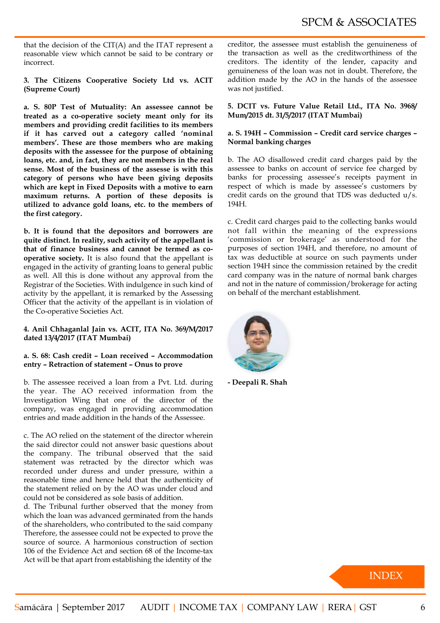that the decision of the CIT(A) and the ITAT represent a reasonable view which cannot be said to be contrary or incorrect.

**3. The Citizens Cooperative Society Ltd vs. ACIT (Supreme Court)**

**a. S. 80P Test of Mutuality: An assessee cannot be treated as a co-operative society meant only for its members and providing credit facilities to its members if it has carved out a category called 'nominal members'. These are those members who are making deposits with the assessee for the purpose of obtaining loans, etc. and, in fact, they are not members in the real sense. Most of the business of the assesse is with this category of persons who have been giving deposits which are kept in Fixed Deposits with a motive to earn maximum returns. A portion of these deposits is utilized to advance gold loans, etc. to the members of the first category.** 

**b. It is found that the depositors and borrowers are quite distinct. In reality, such activity of the appellant is that of finance business and cannot be termed as cooperative society.** It is also found that the appellant is engaged in the activity of granting loans to general public as well. All this is done without any approval from the Registrar of the Societies. With indulgence in such kind of activity by the appellant, it is remarked by the Assessing Officer that the activity of the appellant is in violation of the Co-operative Societies Act.

#### **4. Anil Chhaganlal Jain vs. ACIT, ITA No. 369/M/2017 dated 13/4/2017 (ITAT Mumbai)**

#### **a. S. 68: Cash credit – Loan received – Accommodation entry – Retraction of statement – Onus to prove**

b. The assessee received a loan from a Pvt. Ltd. during the year. The AO received information from the Investigation Wing that one of the director of the company, was engaged in providing accommodation entries and made addition in the hands of the Assessee.

c. The AO relied on the statement of the director wherein the said director could not answer basic questions about the company. The tribunal observed that the said statement was retracted by the director which was recorded under duress and under pressure, within a reasonable time and hence held that the authenticity of the statement relied on by the AO was under cloud and could not be considered as sole basis of addition.

d. The Tribunal further observed that the money from which the loan was advanced germinated from the hands of the shareholders, who contributed to the said company Therefore, the assessee could not be expected to prove the source of source. A harmonious construction of section 106 of the Evidence Act and section 68 of the Income-tax Act will be that apart from establishing the identity of the

creditor, the assessee must establish the genuineness of the transaction as well as the creditworthiness of the creditors. The identity of the lender, capacity and genuineness of the loan was not in doubt. Therefore, the addition made by the AO in the hands of the assessee was not justified.

**5. DCIT vs. Future Value Retail Ltd., ITA No. 3968/ Mum/2015 dt. 31/5/2017 (ITAT Mumbai)**

#### **a. S. 194H – Commission – Credit card service charges – Normal banking charges**

b. The AO disallowed credit card charges paid by the assessee to banks on account of service fee charged by banks for processing assessee's receipts payment in respect of which is made by assessee's customers by credit cards on the ground that TDS was deducted u/s. 194H.

c. Credit card charges paid to the collecting banks would not fall within the meaning of the expressions 'commission or brokerage' as understood for the purposes of section 194H, and therefore, no amount of tax was deductible at source on such payments under section 194H since the commission retained by the credit card company was in the nature of normal bank charges and not in the nature of commission/brokerage for acting on behalf of the merchant establishment.



**- Deepali R. Shah**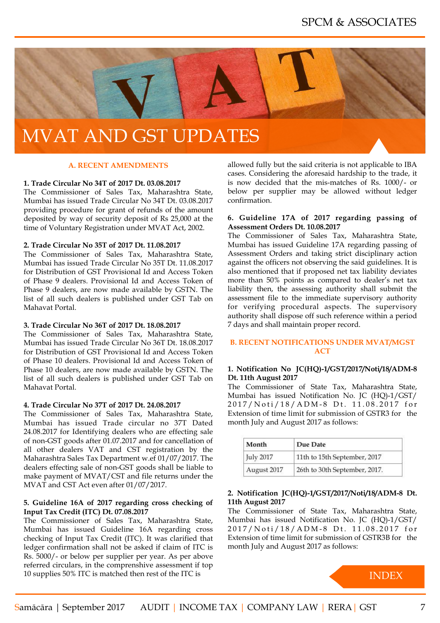<span id="page-7-0"></span>

# MVAT AND GST UPDATES

#### **A. RECENT AMENDMENTS**

#### **1. Trade Circular No 34T of 2017 Dt. 03.08.2017**

The Commissioner of Sales Tax, Maharashtra State, Mumbai has issued Trade Circular No 34T Dt. 03.08.2017 providing procedure for grant of refunds of the amount deposited by way of security deposit of Rs 25,000 at the time of Voluntary Registration under MVAT Act, 2002.

#### **2. Trade Circular No 35T of 2017 Dt. 11.08.2017**

The Commissioner of Sales Tax, Maharashtra State, Mumbai has issued Trade Circular No 35T Dt. 11.08.2017 for Distribution of GST Provisional Id and Access Token of Phase 9 dealers. Provisional Id and Access Token of Phase 9 dealers, are now made available by GSTN. The list of all such dealers is published under GST Tab on Mahavat Portal.

#### **3. Trade Circular No 36T of 2017 Dt. 18.08.2017**

The Commissioner of Sales Tax, Maharashtra State, Mumbai has issued Trade Circular No 36T Dt. 18.08.2017 for Distribution of GST Provisional Id and Access Token of Phase 10 dealers. Provisional Id and Access Token of Phase 10 dealers, are now made available by GSTN. The list of all such dealers is published under GST Tab on Mahavat Portal.

#### **4. Trade Circular No 37T of 2017 Dt. 24.08.2017**

The Commissioner of Sales Tax, Maharashtra State, Mumbai has issued Trade circular no 37T Dated 24.08.2017 for Identifying dealers who are effecting sale of non-GST goods after 01.07.2017 and for cancellation of all other dealers VAT and CST registration by the Maharashtra Sales Tax Department w.ef 01/07/2017. The dealers effecting sale of non-GST goods shall be liable to make payment of MVAT/CST and file returns under the MVAT and CST Act even after 01/07/2017.

#### **5. Guideline 16A of 2017 regarding cross checking of Input Tax Credit (ITC) Dt. 07.08.2017**

The Commissioner of Sales Tax, Maharashtra State, Mumbai has issued Guideline 16A regarding cross checking of Input Tax Credit (ITC). It was clarified that ledger confirmation shall not be asked if claim of ITC is Rs. 5000/- or below per supplier per year. As per above referred circulars, in the comprenshive assessment if top 10 supplies 50% ITC is matched then rest of the ITC is

allowed fully but the said criteria is not applicable to IBA cases. Considering the aforesaid hardship to the trade, it is now decided that the mis-matches of Rs. 1000/- or below per supplier may be allowed without ledger confirmation.

#### **6. Guideline 17A of 2017 regarding passing of Assessment Orders Dt. 10.08.2017**

The Commissioner of Sales Tax, Maharashtra State, Mumbai has issued Guideline 17A regarding passing of Assessment Orders and taking strict disciplinary action against the officers not observing the said guidelines. It is also mentioned that if proposed net tax liability deviates more than 50% points as compared to dealer's net tax liability then, the assessing authority shall submit the assessment file to the immediate supervisory authority for verifying procedural aspects. The supervisory authority shall dispose off such reference within a period 7 days and shall maintain proper record.

#### **B. RECENT NOTIFICATIONS UNDER MVAT/MGST ACT**

#### **1. Notification No JC(HQ)-1/GST/2017/Noti/18/ADM-8 Dt. 11th August 2017**

The Commissioner of State Tax, Maharashtra State, Mumbai has issued Notification No. JC (HQ)-1/GST/ 2017/Noti/18/ADM-8 Dt. 11.08.2017 for Extension of time limit for submission of GSTR3 for the month July and August 2017 as follows:

| Month       | Due Date                      |
|-------------|-------------------------------|
| July 2017   | 11th to 15th September, 2017  |
| August 2017 | 26th to 30th September, 2017. |

#### **2. Notification JC(HQ)-1/GST/2017/Noti/18/ADM-8 Dt. 11th August 2017**

The Commissioner of State Tax, Maharashtra State, Mumbai has issued Notification No. JC (HQ)-1/GST/ 2017/Noti/18/ADM-8 Dt. 11.08.2017 for Extension of time limit for submission of GSTR3B for the month July and August 2017 as follows:

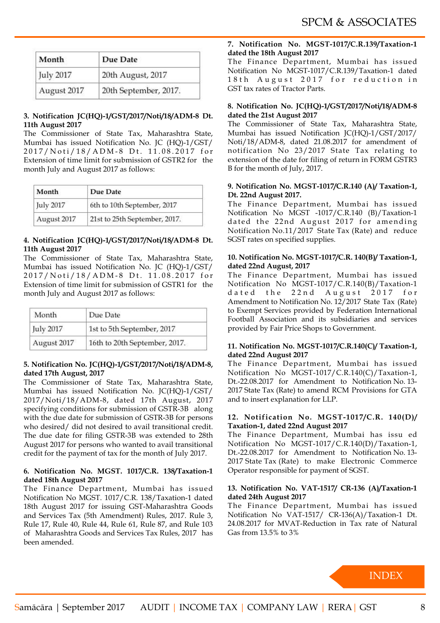| Month       | Due Date              |
|-------------|-----------------------|
| July 2017   | 20th August, 2017     |
| August 2017 | 20th September, 2017. |

#### **3. Notification JC(HQ)-1/GST/2017/Noti/18/ADM-8 Dt. 11th August 2017**

The Commissioner of State Tax, Maharashtra State, Mumbai has issued Notification No. JC (HQ)-1/GST/ 2017/Noti/18/ADM-8 Dt. 11.08.2017 for Extension of time limit for submission of GSTR2 for the month July and August 2017 as follows:

| Month       | Due Date                      |
|-------------|-------------------------------|
| July 2017   | 6th to 10th September, 2017   |
| August 2017 | 21st to 25th September, 2017. |

#### **4. Notification JC(HQ)-1/GST/2017/Noti/18/ADM-8 Dt. 11th August 2017**

The Commissioner of State Tax, Maharashtra State, Mumbai has issued Notification No. JC (HQ)-1/GST/ 2017/Noti/18/ADM-8 Dt. 11.08.2017 for Extension of time limit for submission of GSTR1 for the month July and August 2017 as follows:

| Month       | Due Date                      |
|-------------|-------------------------------|
| July 2017   | 1st to 5th September, 2017    |
| August 2017 | 16th to 20th September, 2017. |

#### **5. Notification No. JC(HQ)-1/GST/2017/Noti/18/ADM-8, dated 17th August, 2017**

The Commissioner of State Tax, Maharashtra State, Mumbai has issued Notification No. JC(HQ)-1/GST/ 2017/Noti/18/ADM-8, dated 17th August, 2017 specifying conditions for submission of GSTR-3B along with the due date for submission of GSTR-3B for persons who desired/ did not desired to avail transitional credit. The due date for filing GSTR-3B was extended to 28th August 2017 for persons who wanted to avail transitional credit for the payment of tax for the month of July 2017.

#### **6. Notification No. MGST. 1017/C.R. 138/Taxation-1 dated 18th August 2017**

The Finance Department, Mumbai has issued Notification No MGST. 1017/C.R. 138/Taxation-1 dated 18th August 2017 for issuing GST-Maharashtra Goods and Services Tax (5th Amendment) Rules, 2017. Rule 3, Rule 17, Rule 40, Rule 44, Rule 61, Rule 87, and Rule 103 of Maharashtra Goods and Services Tax Rules, 2017 has been amended.

#### **7. Notification No. MGST-1017/C.R.139/Taxation-1 dated the 18th August 2017**

The Finance Department, Mumbai has issued Notification No MGST-1017/C.R.139/Taxation-1 dated 18th August 2017 for reduction in GST tax rates of Tractor Parts.

#### **8. Notification No. JC(HQ)-1/GST/2017/Noti/18/ADM-8 dated the 21st August 2017**

The Commissioner of State Tax, Maharashtra State, Mumbai has issued Notification JC(HQ)-1/GST/2017/ Noti/18/ADM-8, dated 21.08.2017 for amendment of notification No 23/2017 State Tax relating to extension of the date for filing of return in FORM GSTR3 B for the month of July, 2017.

#### **9. Notification No. MGST-1017/C.R.140 (A)/ Taxation-1, Dt. 22nd August 2017.**

The Finance Department, Mumbai has issued Notification No MGST -1017/C.R.140 (B)/Taxation-1 dated the 22nd August 2017 for amending Notification No.11/2017 State Tax (Rate) and reduce SGST rates on specified supplies.

#### **10. Notification No. MGST-1017/C.R. 140(B)/ Taxation-1, dated 22nd August, 2017**

The Finance Department, Mumbai has issued Notification No MGST-1017/C.R.140(B)/Taxation-1 dated the 22nd August 2017 for Amendment to Notification No. 12/2017 State Tax (Rate) to Exempt Services provided by Federation International Football Association and its subsidiaries and services provided by Fair Price Shops to Government.

#### **11. Notification No. MGST-1017/C.R.140(C)/ Taxation-1, dated 22nd August 2017**

The Finance Department, Mumbai has issued Notification No MGST-1017/C.R.140(C)/Taxation-1, Dt.-22.08.2017 for Amendment to Notification No. 13- 2017 State Tax (Rate) to amend RCM Provisions for GTA and to insert explanation for LLP.

#### **12. Notification No. MGST-1017/C.R. 140(D)/ Taxation-1, dated 22nd August 2017**

The Finance Department, Mumbai has issu ed Notification No MGST-1017/C.R.140(D)/Taxation-1, Dt.-22.08.2017 for Amendment to Notification No. 13- 2017 State Tax (Rate) to make Electronic Commerce Operator responsible for payment of SGST.

#### **13. Notification No. VAT-1517/ CR-136 (A)/Taxation-1 dated 24th August 2017**

The Finance Department, Mumbai has issued Notification No VAT-1517/ CR-136(A)/Taxation-1 Dt. 24.08.2017 for MVAT-Reduction in Tax rate of Natural Gas from 13.5% to 3%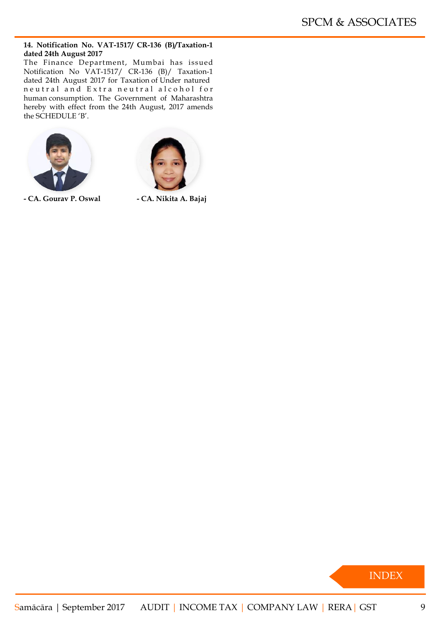#### **14. Notification No. VAT-1517/ CR-136 (B)/Taxation-1 dated 24th August 2017**

The Finance Department, Mumbai has issued Notification No VAT-1517/ CR-136 (B)/ Taxation-1 dated 24th August 2017 for Taxation of Under natured neutral and Extra neutral alcohol for human consumption. The Government of Maharashtra hereby with effect from the 24th August, 2017 amends the SCHEDULE 'B'.





**- CA. Gourav P. Oswal - CA. Nikita A. Bajaj**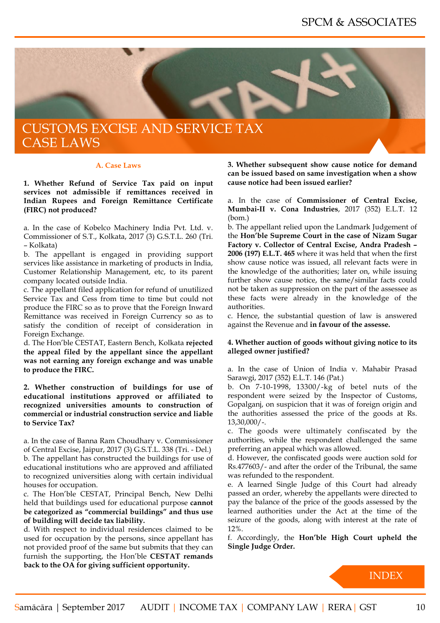<span id="page-10-0"></span>

#### **A. Case Laws**

**1. Whether Refund of Service Tax paid on input services not admissible if remittances received in Indian Rupees and Foreign Remittance Certificate (FIRC) not produced?**

a. In the case of Kobelco Machinery India Pvt. Ltd. v. Commissioner of S.T., Kolkata, 2017 (3) G.S.T.L. 260 (Tri. – Kolkata)

b. The appellant is engaged in providing support services like assistance in marketing of products in India, Customer Relationship Management, etc, to its parent company located outside India.

c. The appellant filed application for refund of unutilized Service Tax and Cess from time to time but could not produce the FIRC so as to prove that the Foreign Inward Remittance was received in Foreign Currency so as to satisfy the condition of receipt of consideration in Foreign Exchange.

d. The Hon'ble CESTAT, Eastern Bench, Kolkata **rejected the appeal filed by the appellant since the appellant was not earning any foreign exchange and was unable to produce the FIRC.** 

**2. Whether construction of buildings for use of educational institutions approved or affiliated to recognized universities amounts to construction of commercial or industrial construction service and liable to Service Tax?**

a. In the case of Banna Ram Choudhary v. Commissioner of Central Excise, Jaipur, 2017 (3) G.S.T.L. 338 (Tri. - Del.) b. The appellant has constructed the buildings for use of educational institutions who are approved and affiliated to recognized universities along with certain individual houses for occupation.

c. The Hon'ble CESTAT, Principal Bench, New Delhi held that buildings used for educational purpose **cannot be categorized as "commercial buildings" and thus use of building will decide tax liability.**

d. With respect to individual residences claimed to be used for occupation by the persons, since appellant has not provided proof of the same but submits that they can furnish the supporting, the Hon'ble **CESTAT remands back to the OA for giving sufficient opportunity.**

**3. Whether subsequent show cause notice for demand can be issued based on same investigation when a show cause notice had been issued earlier?**

a. In the case of **Commissioner of Central Excise, Mumbai-II v. Cona Industries**, 2017 (352) E.L.T. 12 (bom.)

b. The appellant relied upon the Landmark Judgement of the **Hon'ble Supreme Court in the case of Nizam Sugar Factory v. Collector of Central Excise, Andra Pradesh – 2006 (197) E.L.T. 465** where it was held that when the first show cause notice was issued, all relevant facts were in the knowledge of the authorities; later on, while issuing further show cause notice, the same/similar facts could not be taken as suppression on the part of the assessee as these facts were already in the knowledge of the authorities.

c. Hence, the substantial question of law is answered against the Revenue and **in favour of the assesse.**

#### **4. Whether auction of goods without giving notice to its alleged owner justified?**

a. In the case of Union of India v. Mahabir Prasad Sarawgi, 2017 (352) E.L.T. 146 (Pat.)

b. On 7-10-1998, 13300/-kg of betel nuts of the respondent were seized by the Inspector of Customs, Gopalganj, on suspicion that it was of foreign origin and the authorities assessed the price of the goods at Rs. 13,30,000/-.

c. The goods were ultimately confiscated by the authorities, while the respondent challenged the same preferring an appeal which was allowed.

d. However, the confiscated goods were auction sold for Rs.477603/- and after the order of the Tribunal, the same was refunded to the respondent.

e. A learned Single Judge of this Court had already passed an order, whereby the appellants were directed to pay the balance of the price of the goods assessed by the learned authorities under the Act at the time of the seizure of the goods, along with interest at the rate of 12%.

f. Accordingly, the **Hon'ble High Court upheld the Single Judge Order.**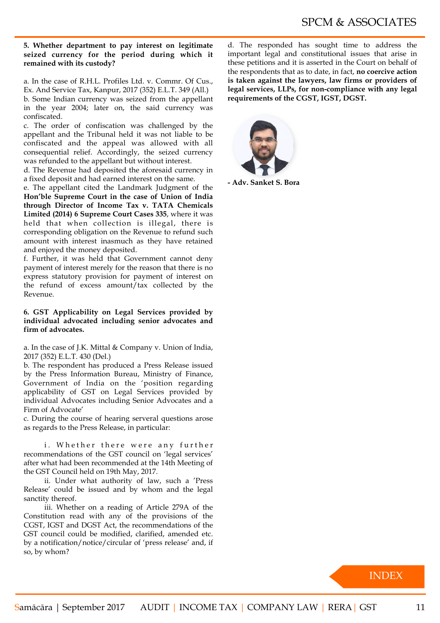#### **5. Whether department to pay interest on legitimate seized currency for the period during which it remained with its custody?**

a. In the case of R.H.L. Profiles Ltd. v. Commr. Of Cus., Ex. And Service Tax, Kanpur, 2017 (352) E.L.T. 349 (All.)

b. Some Indian currency was seized from the appellant in the year 2004; later on, the said currency was confiscated.

c. The order of confiscation was challenged by the appellant and the Tribunal held it was not liable to be confiscated and the appeal was allowed with all consequential relief. Accordingly, the seized currency was refunded to the appellant but without interest.

d. The Revenue had deposited the aforesaid currency in a fixed deposit and had earned interest on the same.

e. The appellant cited the Landmark Judgment of the **Hon'ble Supreme Court in the case of Union of India through Director of Income Tax v. TATA Chemicals Limited (2014) 6 Supreme Court Cases 335**, where it was held that when collection is illegal, there is corresponding obligation on the Revenue to refund such amount with interest inasmuch as they have retained and enjoyed the money deposited.

f. Further, it was held that Government cannot deny payment of interest merely for the reason that there is no express statutory provision for payment of interest on the refund of excess amount/tax collected by the Revenue.

**6. GST Applicability on Legal Services provided by individual advocated including senior advocates and firm of advocates.**

a. In the case of J.K. Mittal & Company v. Union of India, 2017 (352) E.L.T. 430 (Del.)

b. The respondent has produced a Press Release issued by the Press Information Bureau, Ministry of Finance, Government of India on the 'position regarding applicability of GST on Legal Services provided by individual Advocates including Senior Advocates and a Firm of Advocate'

c. During the course of hearing serveral questions arose as regards to the Press Release, in particular:

i. Whether there were any further recommendations of the GST council on 'legal services' after what had been recommended at the 14th Meeting of the GST Council held on 19th May, 2017.

ii. Under what authority of law, such a 'Press Release' could be issued and by whom and the legal sanctity thereof.

iii. Whether on a reading of Article 279A of the Constitution read with any of the provisions of the CGST, IGST and DGST Act, the recommendations of the GST council could be modified, clarified, amended etc. by a notification/notice/circular of 'press release' and, if so, by whom?

d. The responded has sought time to address the important legal and constitutional issues that arise in these petitions and it is asserted in the Court on behalf of the respondents that as to date, in fact, **no coercive action is taken against the lawyers, law firms or providers of legal services, LLPs, for non-compliance with any legal requirements of the CGST, IGST, DGST.**



**- Adv. Sanket S. Bora**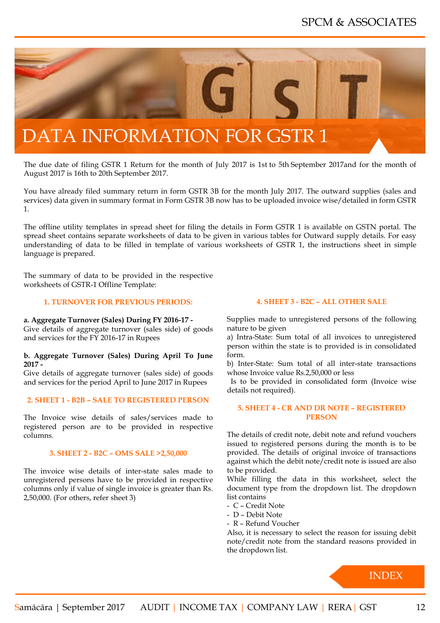<span id="page-12-0"></span>

The due date of filing GSTR 1 Return for the month of July 2017 is 1st to 5th September 2017and for the month of August 2017 is 16th to 20th September 2017.

You have already filed summary return in form GSTR 3B for the month July 2017. The outward supplies (sales and services) data given in summary format in Form GSTR 3B now has to be uploaded invoice wise/detailed in form GSTR 1.

The offline utility templates in spread sheet for filing the details in Form GSTR 1 is available on GSTN portal. The spread sheet contains separate worksheets of data to be given in various tables for Outward supply details. For easy understanding of data to be filled in template of various worksheets of GSTR 1, the instructions sheet in simple language is prepared.

The summary of data to be provided in the respective worksheets of GSTR-1 Offline Template:

#### **1. TURNOVER FOR PREVIOUS PERIODS:**

**a. Aggregate Turnover (Sales) During FY 2016-17 -**

Give details of aggregate turnover (sales side) of goods and services for the FY 2016-17 in Rupees

#### **b. Aggregate Turnover (Sales) During April To June 2017 -**

Give details of aggregate turnover (sales side) of goods and services for the period April to June 2017 in Rupees

#### **2. SHEET 1 - B2B – SALE TO REGISTERED PERSON**

The Invoice wise details of sales/services made to registered person are to be provided in respective columns.

#### **3. SHEET 2 - B2C – OMS SALE >2,50,000**

The invoice wise details of inter-state sales made to unregistered persons have to be provided in respective columns only if value of single invoice is greater than Rs. 2,50,000. (For others, refer sheet 3)

#### **4. SHEET 3 - B2C – ALL OTHER SALE**

Supplies made to unregistered persons of the following nature to be given

a) Intra-State: Sum total of all invoices to unregistered person within the state is to provided is in consolidated form.

b) Inter-State: Sum total of all inter-state transactions whose Invoice value Rs.2,50,000 or less

 Is to be provided in consolidated form (Invoice wise details not required).

#### **5. SHEET 4 - CR AND DR NOTE – REGISTERED PERSON**

The details of credit note, debit note and refund vouchers issued to registered persons during the month is to be provided. The details of original invoice of transactions against which the debit note/credit note is issued are also to be provided.

While filling the data in this worksheet, select the document type from the dropdown list. The dropdown list contains

- C Credit Note
- D Debit Note
- R Refund Voucher

Also, it is necessary to select the reason for issuing debit note/credit note from the standard reasons provided in the dropdown list.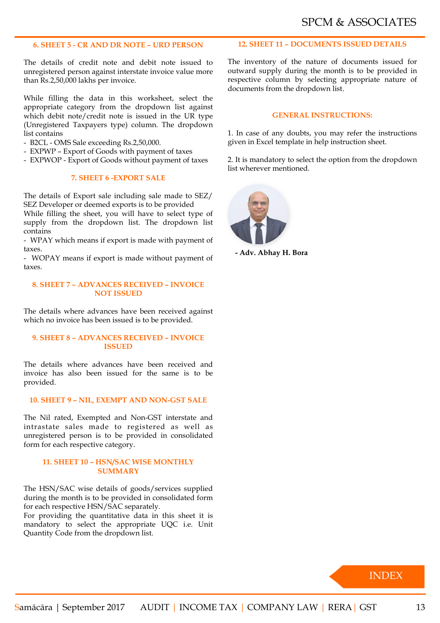#### **6. SHEET 5 - CR AND DR NOTE – URD PERSON**

The details of credit note and debit note issued to unregistered person against interstate invoice value more than Rs.2,50,000 lakhs per invoice.

While filling the data in this worksheet, select the appropriate category from the dropdown list against which debit note/credit note is issued in the UR type (Unregistered Taxpayers type) column. The dropdown list contains

- B2CL OMS Sale exceeding Rs.2,50,000.
- EXPWP Export of Goods with payment of taxes
- EXPWOP Export of Goods without payment of taxes

#### **7. SHEET 6 -EXPORT SALE**

The details of Export sale including sale made to SEZ/ SEZ Developer or deemed exports is to be provided While filling the sheet, you will have to select type of supply from the dropdown list. The dropdown list contains

- WPAY which means if export is made with payment of taxes.

- WOPAY means if export is made without payment of taxes.

#### **8. SHEET 7 – ADVANCES RECEIVED – INVOICE NOT ISSUED**

The details where advances have been received against which no invoice has been issued is to be provided.

#### **9. SHEET 8 – ADVANCES RECEIVED – INVOICE ISSUED**

The details where advances have been received and invoice has also been issued for the same is to be provided.

#### **10. SHEET 9 – NIL, EXEMPT AND NON-GST SALE**

The Nil rated, Exempted and Non-GST interstate and intrastate sales made to registered as well as unregistered person is to be provided in consolidated form for each respective category.

#### **11. SHEET 10 – HSN/SAC WISE MONTHLY SUMMARY**

The HSN/SAC wise details of goods/services supplied during the month is to be provided in consolidated form for each respective HSN/SAC separately.

For providing the quantitative data in this sheet it is mandatory to select the appropriate UQC i.e. Unit Quantity Code from the dropdown list.

#### **12. SHEET 11 – DOCUMENTS ISSUED DETAILS**

The inventory of the nature of documents issued for outward supply during the month is to be provided in respective column by selecting appropriate nature of documents from the dropdown list.

#### **GENERAL INSTRUCTIONS:**

1. In case of any doubts, you may refer the instructions given in Excel template in help instruction sheet.

2. It is mandatory to select the option from the dropdown list wherever mentioned.



**- Adv. Abhay H. Bora**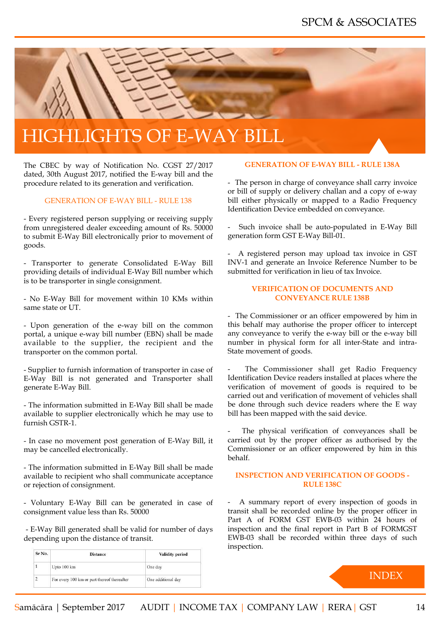<span id="page-14-0"></span>

# HIGHLIGHTS OF E-WAY BILL

The CBEC by way of Notification No. CGST 27/2017 dated, 30th August 2017, notified the E-way bill and the procedure related to its generation and verification.

#### GENERATION OF E-WAY BILL - RULE 138

- Every registered person supplying or receiving supply from unregistered dealer exceeding amount of Rs. 50000 to submit E-Way Bill electronically prior to movement of goods.

- Transporter to generate Consolidated E-Way Bill providing details of individual E-Way Bill number which is to be transporter in single consignment.

- No E-Way Bill for movement within 10 KMs within same state or UT.

- Upon generation of the e-way bill on the common portal, a unique e-way bill number (EBN) shall be made available to the supplier, the recipient and the transporter on the common portal.

- Supplier to furnish information of transporter in case of E-Way Bill is not generated and Transporter shall generate E-Way Bill.

- The information submitted in E-Way Bill shall be made available to supplier electronically which he may use to furnish GSTR-1.

- In case no movement post generation of E-Way Bill, it may be cancelled electronically.

- The information submitted in E-Way Bill shall be made available to recipient who shall communicate acceptance or rejection of consignment.

- Voluntary E-Way Bill can be generated in case of consignment value less than Rs. 50000

 - E-Way Bill generated shall be valid for number of days depending upon the distance of transit.

| Sr No. | <b>Distance</b>                             | <b>Validity period</b> |
|--------|---------------------------------------------|------------------------|
|        | Upto 100 km                                 | One day                |
| 2      | For every 100 km or part thereof thereafter | One additional day     |

#### **GENERATION OF E-WAY BILL - RULE 138A**

- The person in charge of conveyance shall carry invoice or bill of supply or delivery challan and a copy of e-way bill either physically or mapped to a Radio Frequency Identification Device embedded on conveyance.

Such invoice shall be auto-populated in E-Way Bill generation form GST E-Way Bill-01.

- A registered person may upload tax invoice in GST INV-1 and generate an Invoice Reference Number to be submitted for verification in lieu of tax Invoice.

#### **VERIFICATION OF DOCUMENTS AND CONVEYANCE RULE 138B**

- The Commissioner or an officer empowered by him in this behalf may authorise the proper officer to intercept any conveyance to verify the e-way bill or the e-way bill number in physical form for all inter-State and intra-State movement of goods.

The Commissioner shall get Radio Frequency Identification Device readers installed at places where the verification of movement of goods is required to be carried out and verification of movement of vehicles shall be done through such device readers where the E way bill has been mapped with the said device.

The physical verification of conveyances shall be carried out by the proper officer as authorised by the Commissioner or an officer empowered by him in this behalf.

#### **INSPECTION AND VERIFICATION OF GOODS - RULE 138C**

A summary report of every inspection of goods in transit shall be recorded online by the proper officer in Part A of FORM GST EWB-03 within 24 hours of inspection and the final report in Part B of FORMGST EWB-03 shall be recorded within three days of such inspection.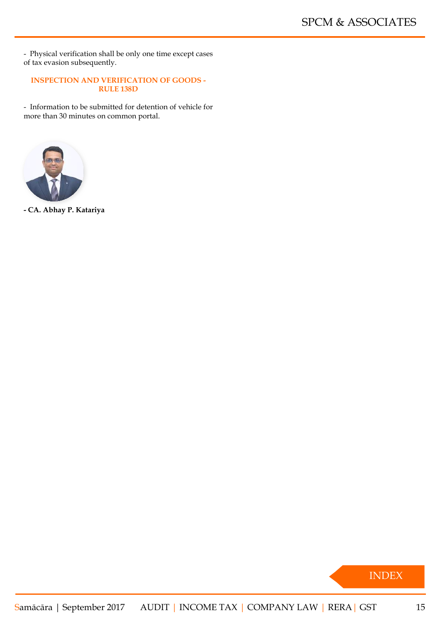- Physical verification shall be only one time except cases of tax evasion subsequently.

#### **INSPECTION AND VERIFICATION OF GOODS - RULE 138D**

- Information to be submitted for detention of vehicle for more than 30 minutes on common portal.



**- CA. Abhay P. Katariya**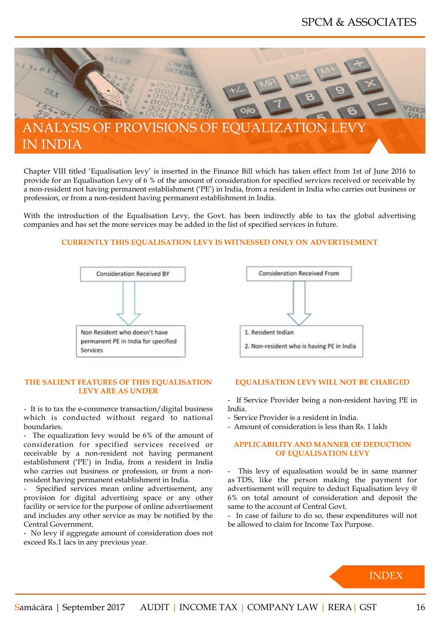<span id="page-16-0"></span>

Chapter VIII titled 'Equalisation levy' is inserted in the Finance Bill which has taken effect from 1st of June 2016 to provide for an Equalisation Levy of 6 % of the amount of consideration for specified services received or receivable by a non-resident not having permanent establishment ('PE') in India, from a resident in India who carries out business or profession, or from a non-resident having permanent establishment in India.

With the introduction of the Equalisation Levy, the Govt. has been indirectly able to tax the global advertising companies and has set the more services may be added in the list of specified services in future.

#### **CURRENTLY THIS EQUALISATION LEVY IS WITNESSED ONLY ON ADVERTISEMENT**



#### **THE SALIENT FEATURES OF THIS EQUALISATION LEVY ARE AS UNDER**

- It is to tax the e-commerce transaction/digital business which is conducted without regard to national boundaries.

- The equalization levy would be 6% of the amount of consideration for specified services received or receivable by a non-resident not having permanent establishment ('PE') in India, from a resident in India who carries out business or profession, or from a nonresident having permanent establishment in India.

Specified services mean online advertisement, any provision for digital advertising space or any other facility or service for the purpose of online advertisement and includes any other service as may be notified by the Central Government.

- No levy if aggregate amount of consideration does not exceed Rs.1 lacs in any previous year.



#### **EQUALISATION LEVY WILL NOT BE CHARGED**

- If Service Provider being a non-resident having PE in India.
- Service Provider is a resident in India.
- Amount of consideration is less than Rs. 1 lakh

#### **APPLICABILITY AND MANNER OF DEDUCTION OF EQUALISATION LEVY**

This levy of equalisation would be in same manner as TDS, like the person making the payment for advertisement will require to deduct Equalisation levy @ 6% on total amount of consideration and deposit the same to the account of Central Govt.

- In case of failure to do so, these expenditures will not be allowed to claim for Income Tax Purpose.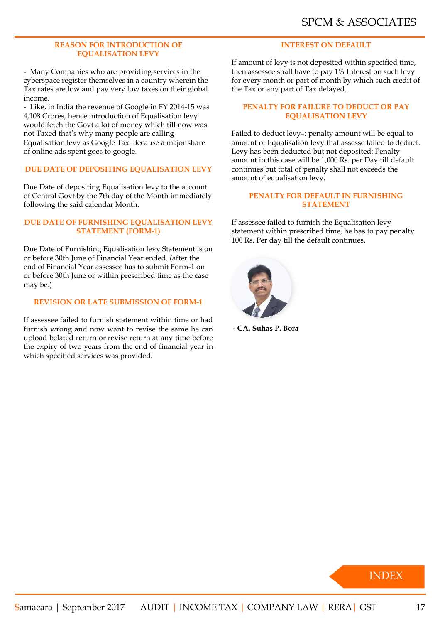#### **REASON FOR INTRODUCTION OF EQUALISATION LEVY**

- Many Companies who are providing services in the cyberspace register themselves in a country wherein the Tax rates are low and pay very low taxes on their global income.

- Like, in India the revenue of Google in FY 2014-15 was 4,108 Crores, hence introduction of Equalisation levy would fetch the Govt a lot of money which till now was not Taxed that's why many people are calling Equalisation levy as Google Tax. Because a major share of online ads spent goes to google.

#### **DUE DATE OF DEPOSITING EQUALISATION LEVY**

Due Date of depositing Equalisation levy to the account of Central Govt by the 7th day of the Month immediately following the said calendar Month.

#### **DUE DATE OF FURNISHING EQUALISATION LEVY STATEMENT (FORM-1)**

Due Date of Furnishing Equalisation levy Statement is on or before 30th June of Financial Year ended. (after the end of Financial Year assessee has to submit Form-1 on or before 30th June or within prescribed time as the case may be.)

#### **REVISION OR LATE SUBMISSION OF FORM-1**

If assessee failed to furnish statement within time or had furnish wrong and now want to revise the same he can upload belated return or revise return at any time before the expiry of two years from the end of financial year in which specified services was provided.

#### **INTEREST ON DEFAULT**

If amount of levy is not deposited within specified time, then assessee shall have to pay 1% Interest on such levy for every month or part of month by which such credit of the Tax or any part of Tax delayed.

#### **PENALTY FOR FAILURE TO DEDUCT OR PAY EQUALISATION LEVY**

Failed to deduct levy–: penalty amount will be equal to amount of Equalisation levy that assesse failed to deduct. Levy has been deducted but not deposited: Penalty amount in this case will be 1,000 Rs. per Day till default continues but total of penalty shall not exceeds the amount of equalisation levy.

#### **PENALTY FOR DEFAULT IN FURNISHING STATEMENT**

If assessee failed to furnish the Equalisation levy statement within prescribed time, he has to pay penalty 100 Rs. Per day till the default continues.



**- CA. Suhas P. Bora**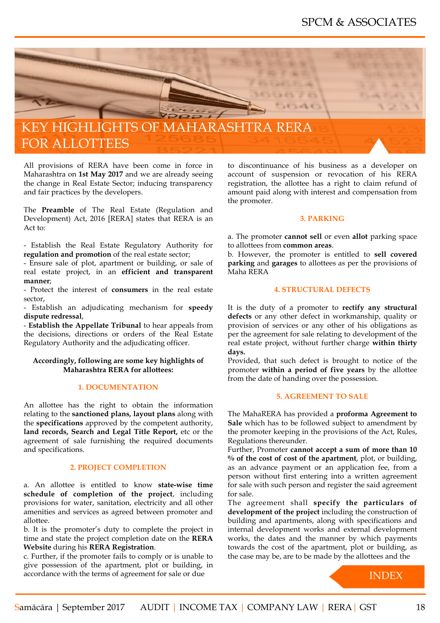<span id="page-18-0"></span>

All provisions of RERA have been come in force in Maharashtra on **1st May 2017** and we are already seeing the change in Real Estate Sector; inducing transparency and fair practices by the developers.

The **Preamble** of The Real Estate (Regulation and Development) Act, 2016 [RERA] states that RERA is an Act to:

- Establish the Real Estate Regulatory Authority for **regulation and promotion** of the real estate sector;

- Ensure sale of plot, apartment or building, or sale of real estate project, in an **efficient and transparent manner**;

- Protect the interest of **consumers** in the real estate sector,

- Establish an adjudicating mechanism for **speedy dispute redressal**,

- **Establish the Appellate Tribunal** to hear appeals from the decisions, directions or orders of the Real Estate Regulatory Authority and the adjudicating officer.

#### **Accordingly, following are some key highlights of Maharashtra RERA for allottees:**

#### **1. DOCUMENTATION**

An allottee has the right to obtain the information relating to the **sanctioned plans, layout plans** along with the **specifications** approved by the competent authority, land records, Search and Legal Title Report, etc or the agreement of sale furnishing the required documents and specifications.

#### **2. PROJECT COMPLETION**

a. An allottee is entitled to know **state-wise time schedule of completion of the project**, including provisions for water, sanitation, electricity and all other amenities and services as agreed between promoter and allottee.

b. It is the promoter's duty to complete the project in time and state the project completion date on the **RERA Website** during his **RERA Registration**.

c. Further, if the promoter fails to comply or is unable to give possession of the apartment, plot or building, in accordance with the terms of agreement for sale or due

to discontinuance of his business as a developer on account of suspension or revocation of his RERA registration, the allottee has a right to claim refund of amount paid along with interest and compensation from the promoter.

#### **3. PARKING**

a. The promoter **cannot sell** or even **allot** parking space to allottees from **common areas**.

b. However, the promoter is entitled to **sell covered parking** and **garages** to allottees as per the provisions of Maha RERA

#### **4. STRUCTURAL DEFECTS**

It is the duty of a promoter to **rectify any structural defects** or any other defect in workmanship, quality or provision of services or any other of his obligations as per the agreement for sale relating to development of the real estate project, without further charge **within thirty days.**

Provided, that such defect is brought to notice of the promoter **within a period of five years** by the allottee from the date of handing over the possession.

#### **5. AGREEMENT TO SALE**

The MahaRERA has provided a **proforma Agreement to Sale** which has to be followed subject to amendment by the promoter keeping in the provisions of the Act, Rules, Regulations thereunder.

Further, Promoter **cannot accept a sum of more than 10 % of the cost of cost of the apartment**, plot, or building, as an advance payment or an application fee, from a person without first entering into a written agreement for sale with such person and register the said agreement for sale.

The agreement shall **specify the particulars of development of the project** including the construction of building and apartments, along with specifications and internal development works and external development works, the dates and the manner by which payments towards the cost of the apartment, plot or building, as the case may be, are to be made by the allottees and the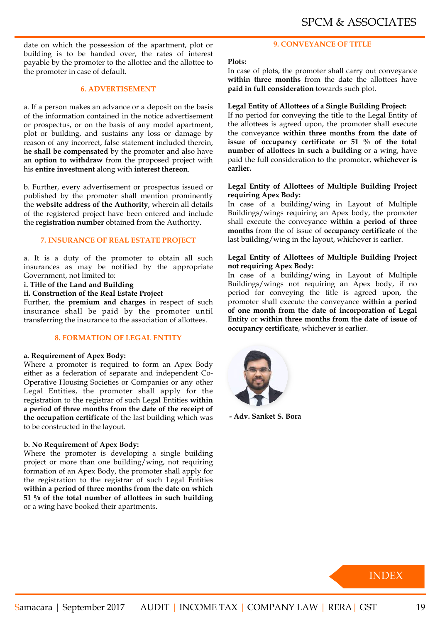date on which the possession of the apartment, plot or building is to be handed over, the rates of interest payable by the promoter to the allottee and the allottee to the promoter in case of default.

#### **6. ADVERTISEMENT**

a. If a person makes an advance or a deposit on the basis of the information contained in the notice advertisement or prospectus, or on the basis of any model apartment, plot or building, and sustains any loss or damage by reason of any incorrect, false statement included therein, **he shall be compensated** by the promoter and also have an **option to withdraw** from the proposed project with his **entire investment** along with **interest thereon**.

b. Further, every advertisement or prospectus issued or published by the promoter shall mention prominently the **website address of the Authority**, wherein all details of the registered project have been entered and include the **registration number** obtained from the Authority.

#### **7. INSURANCE OF REAL ESTATE PROJECT**

a. It is a duty of the promoter to obtain all such insurances as may be notified by the appropriate Government, not limited to:

#### **i. Title of the Land and Building**

#### **ii. Construction of the Real Estate Project**

Further, the **premium and charges** in respect of such insurance shall be paid by the promoter until transferring the insurance to the association of allottees.

#### **8. FORMATION OF LEGAL ENTITY**

#### **a. Requirement of Apex Body:**

Where a promoter is required to form an Apex Body either as a federation of separate and independent Co-Operative Housing Societies or Companies or any other Legal Entities, the promoter shall apply for the registration to the registrar of such Legal Entities **within a period of three months from the date of the receipt of the occupation certificate** of the last building which was to be constructed in the layout.

#### **b. No Requirement of Apex Body:**

Where the promoter is developing a single building project or more than one building/wing, not requiring formation of an Apex Body, the promoter shall apply for the registration to the registrar of such Legal Entities **within a period of three months from the date on which 51 % of the total number of allottees in such building** or a wing have booked their apartments.

#### **9. CONVEYANCE OF TITLE**

#### **Plots:**

In case of plots, the promoter shall carry out conveyance within three months from the date the allottees have **paid in full consideration** towards such plot.

#### **Legal Entity of Allottees of a Single Building Project:**

If no period for conveying the title to the Legal Entity of the allottees is agreed upon, the promoter shall execute the conveyance **within three months from the date of issue of occupancy certificate or 51 % of the total number of allottees in such a building** or a wing, have paid the full consideration to the promoter, **whichever is earlier.**

#### **Legal Entity of Allottees of Multiple Building Project requiring Apex Body:**

In case of a building/wing in Layout of Multiple Buildings/wings requiring an Apex body, the promoter shall execute the conveyance **within a period of three months** from the of issue of **occupancy certificate** of the last building/wing in the layout, whichever is earlier.

#### **Legal Entity of Allottees of Multiple Building Project not requiring Apex Body:**

In case of a building/wing in Layout of Multiple Buildings/wings not requiring an Apex body, if no period for conveying the title is agreed upon, the promoter shall execute the conveyance **within a period of one month from the date of incorporation of Legal Entity** or **within three months from the date of issue of occupancy certificate**, whichever is earlier.



**- Adv. Sanket S. Bora**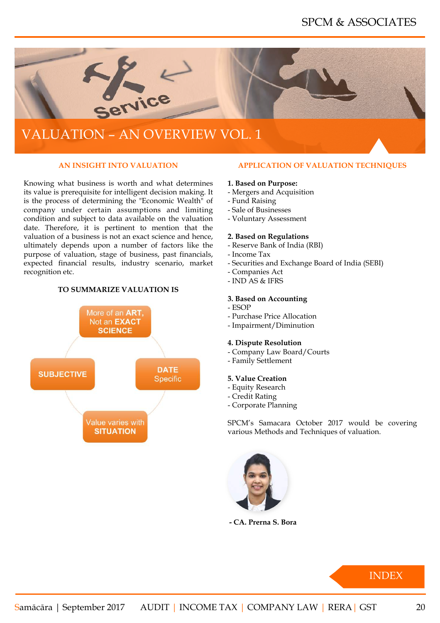<span id="page-20-0"></span>

# VALUATION – AN OVERVIEW VOL. 1

#### **AN INSIGHT INTO VALUATION**

Knowing what business is worth and what determines its value is prerequisite for intelligent decision making. It is the process of determining the "Economic Wealth" of company under certain assumptions and limiting condition and subject to data available on the valuation date. Therefore, it is pertinent to mention that the valuation of a business is not an exact science and hence, ultimately depends upon a number of factors like the purpose of valuation, stage of business, past financials, expected financial results, industry scenario, market recognition etc.

#### **TO SUMMARIZE VALUATION IS**



#### **APPLICATION OF VALUATION TECHNIQUES**

#### **1. Based on Purpose:**

- Mergers and Acquisition
- Fund Raising
- Sale of Businesses
- Voluntary Assessment

#### **2. Based on Regulations**

- Reserve Bank of India (RBI)
- Income Tax
- Securities and Exchange Board of India (SEBI)
- Companies Act
- $-$  IND AS & IFRS

#### **3. Based on Accounting**

- ESOP
- Purchase Price Allocation
- Impairment/Diminution

#### **4. Dispute Resolution**

- Company Law Board/Courts
- Family Settlement

#### **5. Value Creation**

- Equity Research
- Credit Rating
- Corporate Planning

SPCM's Samacara October 2017 would be covering various Methods and Techniques of valuation.



**- CA. Prerna S. Bora**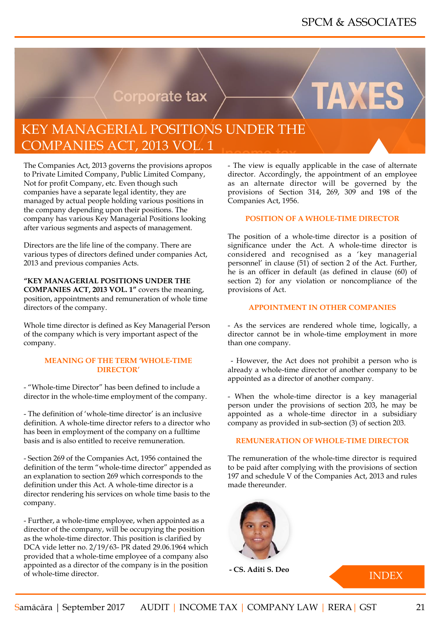TAXE

# **Corporate tax**

# <span id="page-21-0"></span>KEY MANAGERIAL POSITIONS UNDER THE COMPANIES ACT, 2013 VOL. 1

The Companies Act, 2013 governs the provisions apropos to Private Limited Company, Public Limited Company, Not for profit Company, etc. Even though such companies have a separate legal identity, they are managed by actual people holding various positions in the company depending upon their positions. The company has various Key Managerial Positions looking after various segments and aspects of management.

Directors are the life line of the company. There are various types of directors defined under companies Act, 2013 and previous companies Acts.

**"KEY MANAGERIAL POSITIONS UNDER THE COMPANIES ACT, 2013 VOL. 1"** covers the meaning, position, appointments and remuneration of whole time directors of the company.

Whole time director is defined as Key Managerial Person of the company which is very important aspect of the company.

#### **MEANING OF THE TERM 'WHOLE-TIME DIRECTOR'**

- "Whole-time Director" has been defined to include a director in the whole-time employment of the company.

- The definition of 'whole-time director' is an inclusive definition. A whole-time director refers to a director who has been in employment of the company on a fulltime basis and is also entitled to receive remuneration.

- Section 269 of the Companies Act, 1956 contained the definition of the term "whole-time director" appended as an explanation to section 269 which corresponds to the definition under this Act. A whole-time director is a director rendering his services on whole time basis to the company.

- Further, a whole-time employee, when appointed as a director of the company, will be occupying the position as the whole-time director. This position is clarified by DCA vide letter no. 2/19/63- PR dated 29.06.1964 which provided that a whole-time employee of a company also appointed as a director of the company is in the position of whole-time director.

- The view is equally applicable in the case of alternate director. Accordingly, the appointment of an employee as an alternate director will be governed by the provisions of Section 314, 269, 309 and 198 of the Companies Act, 1956.

#### **POSITION OF A WHOLE-TIME DIRECTOR**

The position of a whole-time director is a position of significance under the Act. A whole-time director is considered and recognised as a 'key managerial personnel' in clause (51) of section 2 of the Act. Further, he is an officer in default (as defined in clause (60) of section 2) for any violation or noncompliance of the provisions of Act.

#### **APPOINTMENT IN OTHER COMPANIES**

- As the services are rendered whole time, logically, a director cannot be in whole-time employment in more than one company.

 - However, the Act does not prohibit a person who is already a whole-time director of another company to be appointed as a director of another company.

- When the whole-time director is a key managerial person under the provisions of section 203, he may be appointed as a whole-time director in a subsidiary company as provided in sub-section (3) of section 203.

#### **REMUNERATION OF WHOLE-TIME DIRECTOR**

The remuneration of the whole-time director is required to be paid after complying with the provisions of section 197 and schedule V of the Companies Act, 2013 and rules made thereunder.



**- CS. Aditi S. Deo**